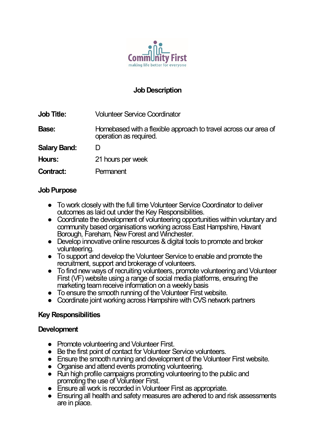

## **Job Description**

| <b>Job Title:</b>   | <b>Volunteer Service Coordinator</b>                                                      |
|---------------------|-------------------------------------------------------------------------------------------|
| Base:               | Homebased with a flexible approach to travel across our area of<br>operation as required. |
| <b>Salary Band:</b> |                                                                                           |
| Hours:              | 21 hours per week                                                                         |
| <b>Contract:</b>    | Permanent                                                                                 |

#### **Job Purpose**

- To work closely with the full time Volunteer Service Coordinator to deliver outcomes as laid out under the Key Responsibilities.
- Coordinate the development of volunteering opportunities within voluntary and community based organisations working across East Hampshire, Havant Borough, Fareham, New Forest and Winchester.
- Develop innovative online resources & digital tools to promote and broker volunteering.
- To support and develop the Volunteer Service to enable and promote the recruitment, support and brokerage of volunteers.
- To find new ways of recruiting volunteers, promote volunteering and Volunteer First (VF) website using a range of social media platforms, ensuring the marketing team receive information on a weekly basis
- To ensure the smooth running of the Volunteer First website.
- Coordinate joint working across Hampshire with CVS network partners

#### **Key Responsibilities**

#### **Development**

- Promote volunteering and Volunteer First.
- Be the first point of contact for Volunteer Service volunteers.
- Ensure the smooth running and development of the Volunteer First website.
- Organise and attend events promoting volunteering.
- Run high profile campaigns promoting volunteering to the public and promoting the use of Volunteer First.
- Ensure all work is recorded in Volunteer First as appropriate.
- Ensuring all health and safety measures are adhered to and risk assessments are in place.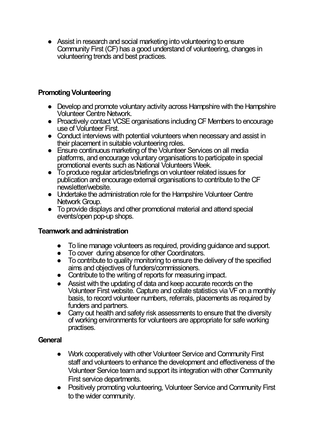● Assist in research and social marketing into volunteering to ensure Community First (CF) has a good understand of volunteering, changes in volunteering trends and best practices.

# **Promoting Volunteering**

- Develop and promote voluntary activity across Hampshire with the Hampshire Volunteer Centre Network.
- Proactively contact VCSE organisations including CF Members to encourage use of Volunteer First.
- Conduct interviews with potential volunteers when necessary and assist in their placement in suitable volunteering roles.
- Ensure continuous marketing of the Volunteer Services on all media platforms, and encourage voluntary organisations to participate in special promotional events such as National Volunteers Week.
- To produce regular articles/briefings on volunteer related issues for publication and encourage external organisations to contribute to the CF newsletter/website.
- Undertake the administration role for the Hampshire Volunteer Centre Network Group.
- To provide displays and other promotional material and attend special events/open pop-up shops.

### **Teamwork and administration**

- To line manage volunteers as required, providing quidance and support,
- To cover during absence for other Coordinators.
- To contribute to quality monitoring to ensure the delivery of the specified aims and objectives of funders/commissioners.
- Contribute to the writing of reports for measuring impact.
- Assist with the updating of data and keep accurate records on the Volunteer First website. Capture and collate statistics via VF on a monthly basis, to record volunteer numbers, referrals, placements as required by funders and partners.
- Carry out health and safety risk assessments to ensure that the diversity of working environments for volunteers are appropriate for safe working practises.

### **General**

- Work cooperatively with other Volunteer Service and Community First staff and volunteers to enhance the development and effectiveness of the Volunteer Service team and support its integration with other Community First service departments.
- Positively promoting volunteering, Volunteer Service and Community First to the wider community.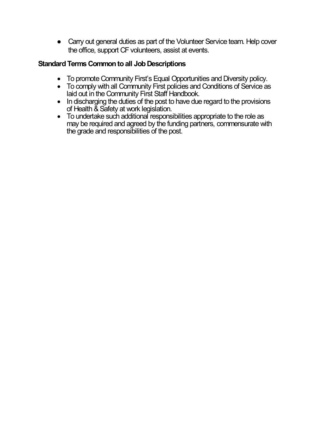• Carry out general duties as part of the Volunteer Service team. Help cover the office, support CF volunteers, assist at events.

### **Standard Terms Common to all Job Descriptions**

- To promote Community First's Equal Opportunities and Diversity policy.
- To comply with all Community First policies and Conditions of Service as laid out in the Community First Staff Handbook.
- In discharging the duties of the post to have due regard to the provisions of Health & Safety at work legislation.
- To undertake such additional responsibilities appropriate to the role as may be required and agreed by the funding partners, commensurate with the grade and responsibilities of the post.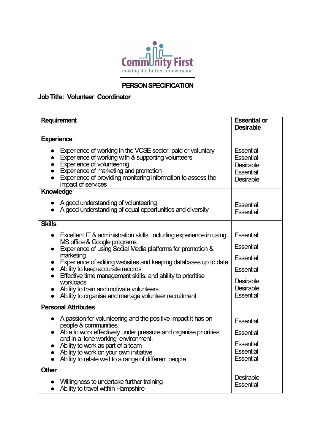

# **PERSON SPECIFICATION**

#### **Job Title: Volunteer Coordinator**

| Requirement                                                                                                                                                                                                                                                                           | <b>Essential or</b><br><b>Desirable</b>                                                          |  |
|---------------------------------------------------------------------------------------------------------------------------------------------------------------------------------------------------------------------------------------------------------------------------------------|--------------------------------------------------------------------------------------------------|--|
| <b>Experience</b>                                                                                                                                                                                                                                                                     |                                                                                                  |  |
| Experience of working in the VCSE sector, paid or voluntary<br>Experience of working with & supporting volunteers<br><b>Experience of volunteering</b><br>Experience of marketing and promotion<br>Experience of providing monitoring information to assess the<br>impact of services | <b>Essential</b><br><b>Essential</b><br><b>Desirable</b><br><b>Essential</b><br><b>Desirable</b> |  |
| Knowledge                                                                                                                                                                                                                                                                             |                                                                                                  |  |
| A good understanding of volunteering<br>A good understanding of equal opportunities and diversity                                                                                                                                                                                     | <b>Essential</b><br><b>Essential</b>                                                             |  |
| <b>Skills</b>                                                                                                                                                                                                                                                                         |                                                                                                  |  |
| Excellent IT & administration skills, including experience in using<br>$\bullet$                                                                                                                                                                                                      | <b>Essential</b>                                                                                 |  |
| MS office & Google programs<br>Experience of using Social Media platforms for promotion &                                                                                                                                                                                             | <b>Essential</b>                                                                                 |  |
| marketing<br>Experience of editing websites and keeping databases up to date                                                                                                                                                                                                          | <b>Essential</b>                                                                                 |  |
| Ability to keep accurate records                                                                                                                                                                                                                                                      | <b>Essential</b>                                                                                 |  |
| Effective time management skills. and ability to prioritise<br>$\bullet$<br>workloads                                                                                                                                                                                                 | <b>Desirable</b>                                                                                 |  |
| Ability to train and motivate volunteers<br>Ability to organise and manage volunteer recruitment                                                                                                                                                                                      | <b>Desirable</b><br><b>Essential</b>                                                             |  |
|                                                                                                                                                                                                                                                                                       |                                                                                                  |  |
| <b>Personal Attributes</b>                                                                                                                                                                                                                                                            |                                                                                                  |  |
| A passion for volunteering and the positive impact it has on<br>$\bullet$<br>people & communities.                                                                                                                                                                                    | <b>Essential</b>                                                                                 |  |
| Able to work effectively under pressure and organise priorities<br>and in a 'lone working' environment.                                                                                                                                                                               | <b>Essential</b>                                                                                 |  |
| Ability to work as part of a team                                                                                                                                                                                                                                                     | <b>Essential</b>                                                                                 |  |
| Ability to work on your own initiative                                                                                                                                                                                                                                                | <b>Essential</b>                                                                                 |  |
| Ability to relate well to a range of different people                                                                                                                                                                                                                                 | <b>Essential</b>                                                                                 |  |
| Other                                                                                                                                                                                                                                                                                 |                                                                                                  |  |
| Willingness to undertake further training                                                                                                                                                                                                                                             | <b>Desirable</b><br><b>Essential</b>                                                             |  |
| Ability to travel within Hampshire                                                                                                                                                                                                                                                    |                                                                                                  |  |